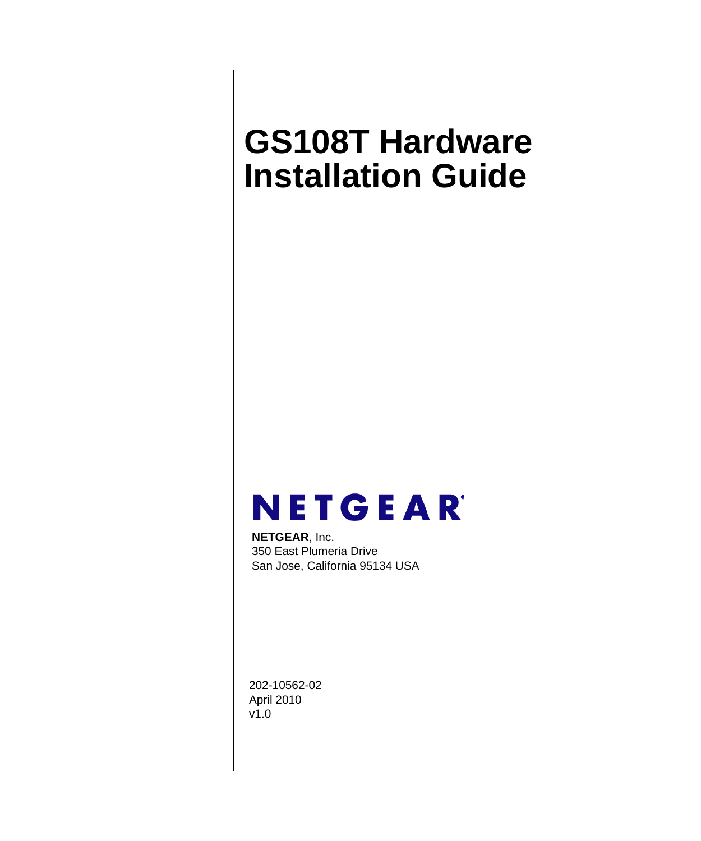# <span id="page-0-0"></span>**GS108T Hardware Installation Guide**



**NETGEAR**, Inc. 350 East Plumeria Drive San Jose, California 95134 USA

202-10562-02 April 2010 v1.0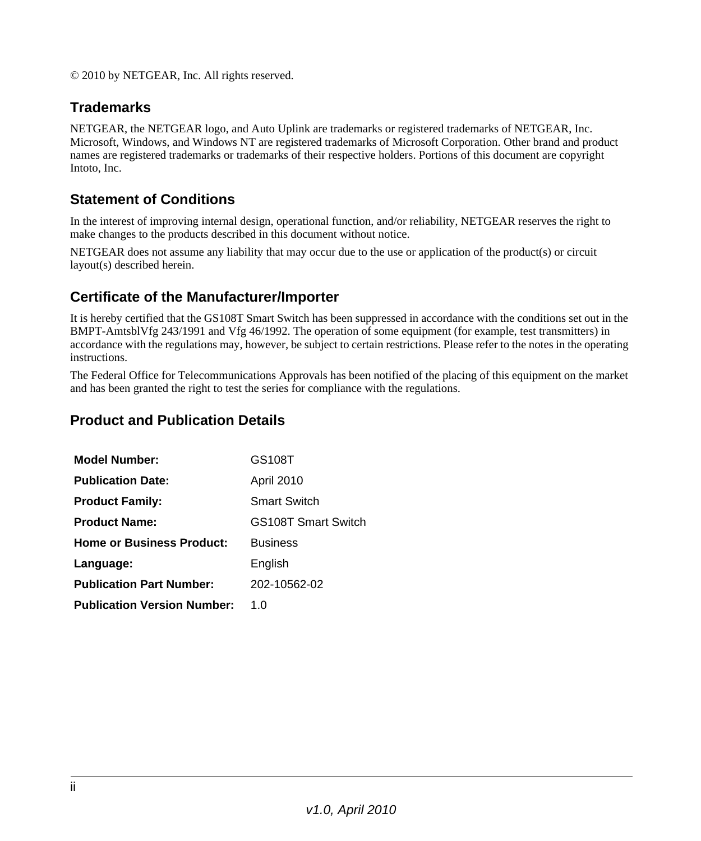© 2010 by NETGEAR, Inc. All rights reserved.

### **Trademarks**

NETGEAR, the NETGEAR logo, and Auto Uplink are trademarks or registered trademarks of NETGEAR, Inc. Microsoft, Windows, and Windows NT are registered trademarks of Microsoft Corporation. Other brand and product names are registered trademarks or trademarks of their respective holders. Portions of this document are copyright Intoto, Inc.

### **Statement of Conditions**

In the interest of improving internal design, operational function, and/or reliability, NETGEAR reserves the right to make changes to the products described in this document without notice.

NETGEAR does not assume any liability that may occur due to the use or application of the product(s) or circuit layout(s) described herein.

#### **Certificate of the Manufacturer/Importer**

It is hereby certified that the GS108T Smart Switch has been suppressed in accordance with the conditions set out in the BMPT-AmtsblVfg 243/1991 and Vfg 46/1992. The operation of some equipment (for example, test transmitters) in accordance with the regulations may, however, be subject to certain restrictions. Please refer to the notes in the operating instructions.

The Federal Office for Telecommunications Approvals has been notified of the placing of this equipment on the market and has been granted the right to test the series for compliance with the regulations.

#### **Product and Publication Details**

| <b>Model Number:</b>               | GS108T                     |
|------------------------------------|----------------------------|
| <b>Publication Date:</b>           | April 2010                 |
| <b>Product Family:</b>             | <b>Smart Switch</b>        |
| <b>Product Name:</b>               | <b>GS108T Smart Switch</b> |
| <b>Home or Business Product:</b>   | <b>Business</b>            |
| Language:                          | English                    |
| <b>Publication Part Number:</b>    | 202-10562-02               |
| <b>Publication Version Number:</b> | 1. $\Omega$                |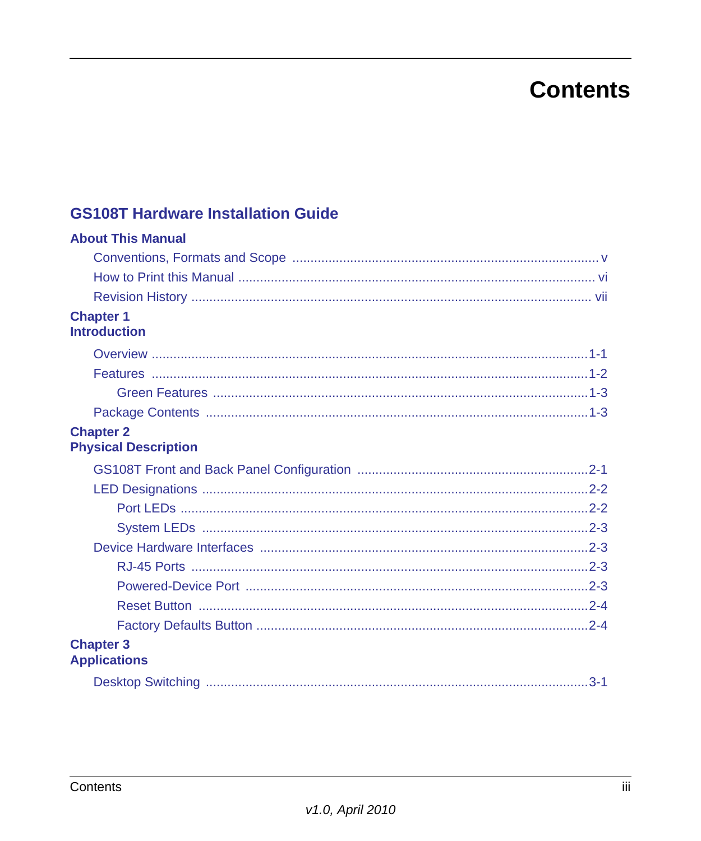## **Contents**

### **GS108T Hardware Installation Guide**

| <b>About This Manual</b>                        |         |
|-------------------------------------------------|---------|
|                                                 |         |
|                                                 |         |
|                                                 |         |
| <b>Chapter 1</b><br><b>Introduction</b>         |         |
|                                                 |         |
|                                                 |         |
|                                                 |         |
|                                                 |         |
| <b>Chapter 2</b><br><b>Physical Description</b> |         |
|                                                 |         |
|                                                 |         |
|                                                 |         |
|                                                 |         |
|                                                 |         |
|                                                 |         |
|                                                 |         |
|                                                 |         |
|                                                 |         |
| <b>Chapter 3</b><br><b>Applications</b>         |         |
|                                                 | $3 - 1$ |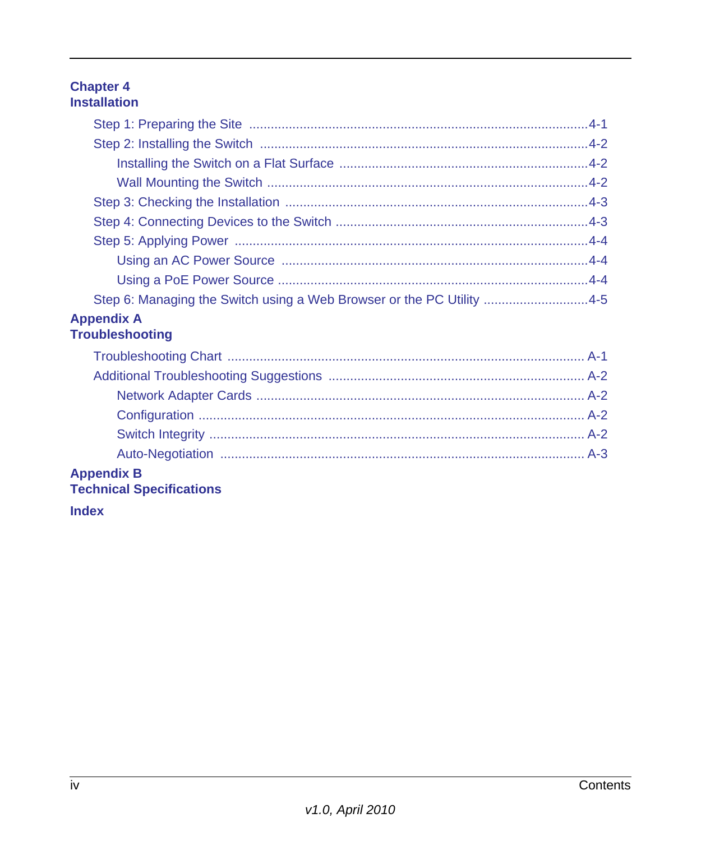# **Chapter 4**<br>Installation

| Step 6: Managing the Switch using a Web Browser or the PC Utility 4-5 |  |
|-----------------------------------------------------------------------|--|
| <b>Appendix A</b><br><b>Troubleshooting</b>                           |  |
|                                                                       |  |

| <b>nnondiv D</b> |  |
|------------------|--|

# **Appendix B<br>Technical Specifications**

**Index**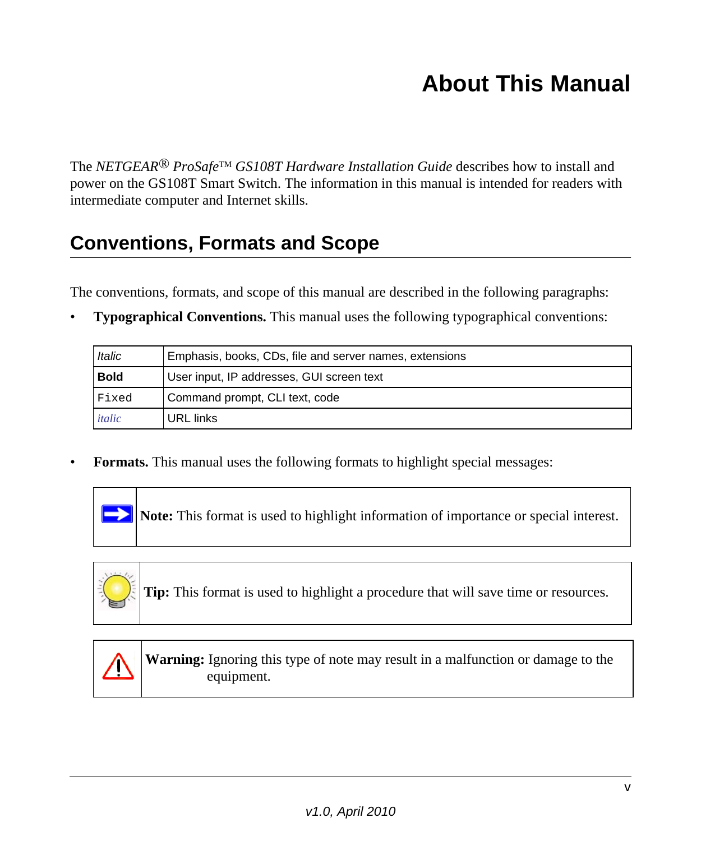## **About This Manual**

<span id="page-4-0"></span>The *NETGEAR® ProSafe*TM *GS108T Hardware Installation Guide* describes how to install and power on the GS108T Smart Switch. The information in this manual is intended for readers with intermediate computer and Internet skills.

## <span id="page-4-1"></span>**Conventions, Formats and Scope**

The conventions, formats, and scope of this manual are described in the following paragraphs:

**Typographical Conventions.** This manual uses the following typographical conventions:

| Italic      | Emphasis, books, CDs, file and server names, extensions |
|-------------|---------------------------------------------------------|
| <b>Bold</b> | User input, IP addresses, GUI screen text               |
| Fixed       | Command prompt, CLI text, code                          |
| italic      | URL links                                               |

• **Formats.** This manual uses the following formats to highlight special messages:



**Note:** This format is used to highlight information of importance or special interest.



**Tip:** This format is used to highlight a procedure that will save time or resources.



**Warning:** Ignoring this type of note may result in a malfunction or damage to the equipment.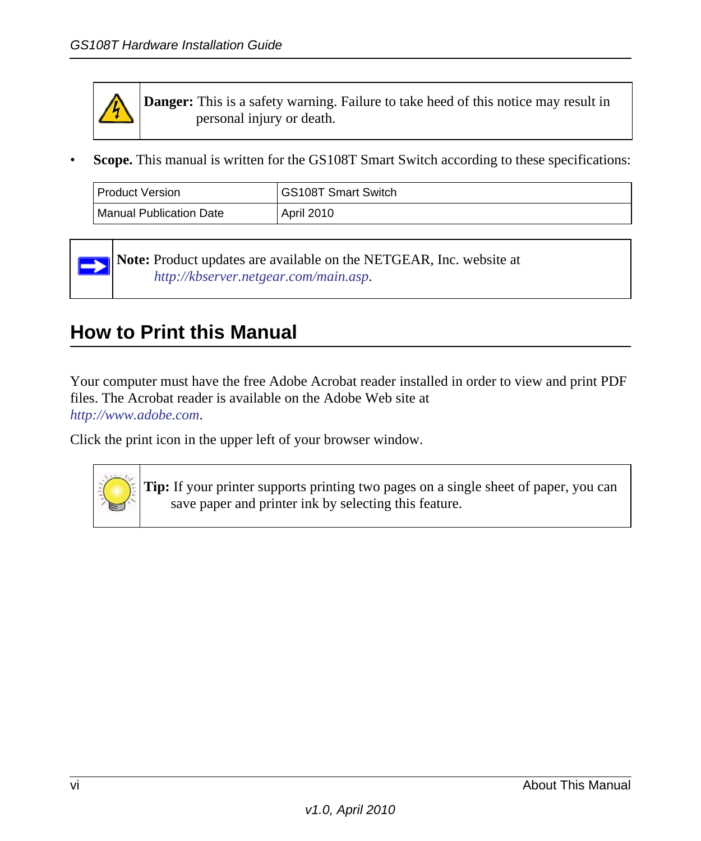

**Danger:** This is a safety warning. Failure to take heed of this notice may result in personal injury or death.

• **Scope.** This manual is written for the GS108T Smart Switch according to these specifications:

| l Product Version.      | <sup>1</sup> GS108T Smart Switch |
|-------------------------|----------------------------------|
| Manual Publication Date | <b>April 2010</b>                |

**Note:** Product updates are available on the NETGEAR, Inc. website at *[http://kbserver.netgear.com/main.asp](http://kbserver.netgear.com/products/WPN824.asp)*.

## <span id="page-5-0"></span>**How to Print this Manual**

Your computer must have the free Adobe Acrobat reader installed in order to view and print PDF files. The Acrobat reader is available on the Adobe Web site at *<http://www.adobe.com>*.

Click the print icon in the upper left of your browser window.



**Tip:** If your printer supports printing two pages on a single sheet of paper, you can save paper and printer ink by selecting this feature.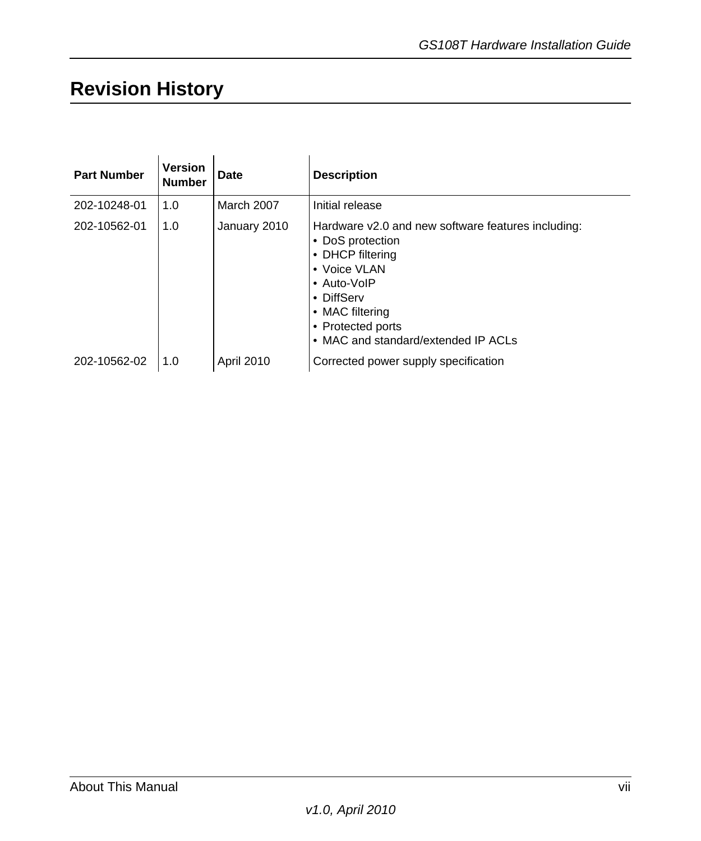## <span id="page-6-0"></span>**Revision History**

| <b>Part Number</b> | <b>Version</b><br><b>Number</b> | <b>Date</b>       | <b>Description</b>                                                                                                                                                                                                     |
|--------------------|---------------------------------|-------------------|------------------------------------------------------------------------------------------------------------------------------------------------------------------------------------------------------------------------|
| 202-10248-01       | 1.0                             | March 2007        | Initial release                                                                                                                                                                                                        |
| 202-10562-01       | 1.0                             | January 2010      | Hardware v2.0 and new software features including:<br>• DoS protection<br>• DHCP filtering<br>• Voice VLAN<br>• Auto-VoIP<br>• DiffServ<br>• MAC filtering<br>• Protected ports<br>• MAC and standard/extended IP ACLs |
| 202-10562-02       | 1.0                             | <b>April 2010</b> | Corrected power supply specification                                                                                                                                                                                   |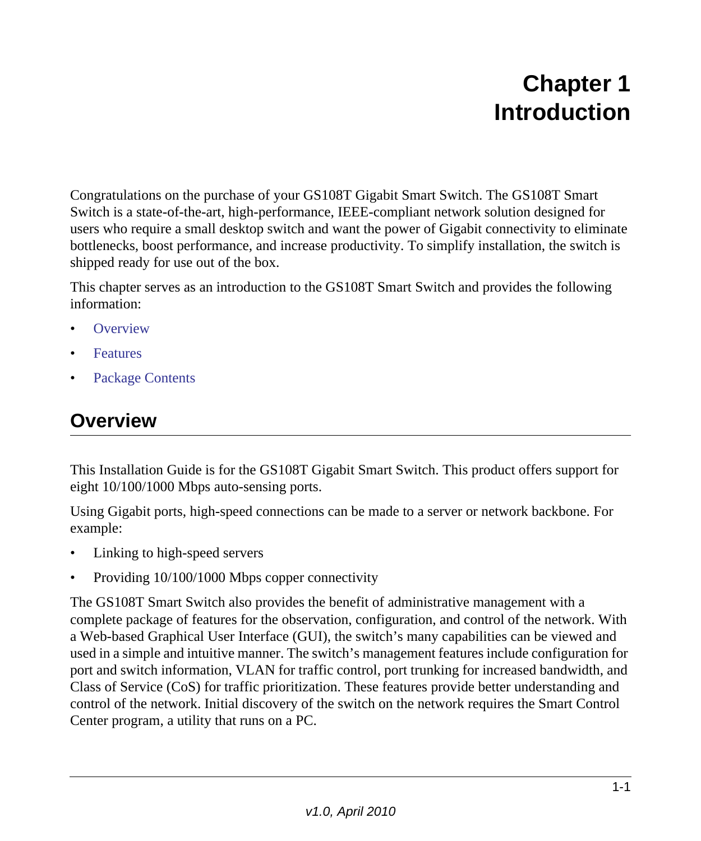## **Chapter 1 Introduction**

<span id="page-8-0"></span>Congratulations on the purchase of your GS108T Gigabit Smart Switch. The GS108T Smart Switch is a state-of-the-art, high-performance, IEEE-compliant network solution designed for users who require a small desktop switch and want the power of Gigabit connectivity to eliminate bottlenecks, boost performance, and increase productivity. To simplify installation, the switch is shipped ready for use out of the box.

This chapter serves as an introduction to the GS108T Smart Switch and provides the following information:

- **[Overview](#page-8-1)**
- **[Features](#page-9-0)**
- [Package Contents](#page-10-1)

## <span id="page-8-6"></span><span id="page-8-1"></span>**Overview**

This Installation Guide is for the GS108T Gigabit Smart Switch. This product offers support for eight 10/100/1000 Mbps auto-sensing ports.

<span id="page-8-4"></span>Using Gigabit ports, high-speed connections can be made to a server or network backbone. For example:

- <span id="page-8-5"></span><span id="page-8-3"></span>• Linking to high-speed servers
- Providing 10/100/1000 Mbps copper connectivity

<span id="page-8-10"></span><span id="page-8-9"></span><span id="page-8-8"></span><span id="page-8-7"></span><span id="page-8-2"></span>The GS108T Smart Switch also provides the benefit of administrative management with a complete package of features for the observation, configuration, and control of the network. With a Web-based Graphical User Interface (GUI), the switch's many capabilities can be viewed and used in a simple and intuitive manner. The switch's management features include configuration for port and switch information, VLAN for traffic control, port trunking for increased bandwidth, and Class of Service (CoS) for traffic prioritization. These features provide better understanding and control of the network. Initial discovery of the switch on the network requires the Smart Control Center program, a utility that runs on a PC.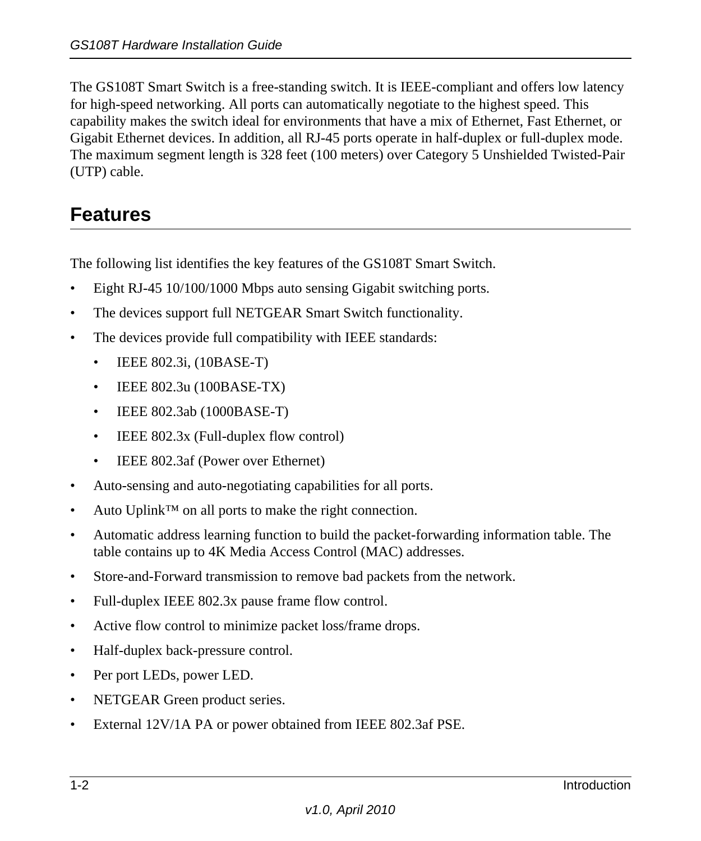<span id="page-9-21"></span><span id="page-9-15"></span><span id="page-9-14"></span><span id="page-9-8"></span><span id="page-9-7"></span>The GS108T Smart Switch is a free-standing switch. It is IEEE-compliant and offers low latency for high-speed networking. All ports can automatically negotiate to the highest speed. This capability makes the switch ideal for environments that have a mix of Ethernet, Fast Ethernet, or Gigabit Ethernet devices. In addition, all RJ-45 ports operate in half-duplex or full-duplex mode. The maximum segment length is 328 feet (100 meters) over Category 5 Unshielded Twisted-Pair (UTP) cable.

## <span id="page-9-0"></span>**Features**

<span id="page-9-4"></span>The following list identifies the key features of the GS108T Smart Switch.

- Eight RJ-45 10/100/1000 Mbps auto sensing Gigabit switching ports.
- The devices support full NETGEAR Smart Switch functionality.
- <span id="page-9-13"></span><span id="page-9-12"></span><span id="page-9-11"></span><span id="page-9-9"></span><span id="page-9-3"></span><span id="page-9-2"></span><span id="page-9-1"></span>• The devices provide full compatibility with IEEE standards:
	- **IEEE 802.3i, (10BASE-T)**
	- IEEE 802.3u (100BASE-TX)
	- **IEEE 802.3ab (1000BASE-T)**
	- **IEEE 802.3x (Full-duplex flow control)**
	- **IEEE 802.3af (Power over Ethernet)**
- <span id="page-9-19"></span><span id="page-9-10"></span><span id="page-9-5"></span>• Auto-sensing and auto-negotiating capabilities for all ports.
- Auto Uplink™ on all ports to make the right connection.
- <span id="page-9-17"></span><span id="page-9-16"></span>• Automatic address learning function to build the packet-forwarding information table. The table contains up to 4K Media Access Control (MAC) addresses.
- <span id="page-9-18"></span>• Store-and-Forward transmission to remove bad packets from the network.
- Full-duplex IEEE 802.3x pause frame flow control.
- Active flow control to minimize packet loss/frame drops.
- <span id="page-9-6"></span>• Half-duplex back-pressure control.
- Per port LEDs, power LED.
- <span id="page-9-20"></span>• NETGEAR Green product series.
- External 12V/1A PA or power obtained from IEEE 802.3af PSE.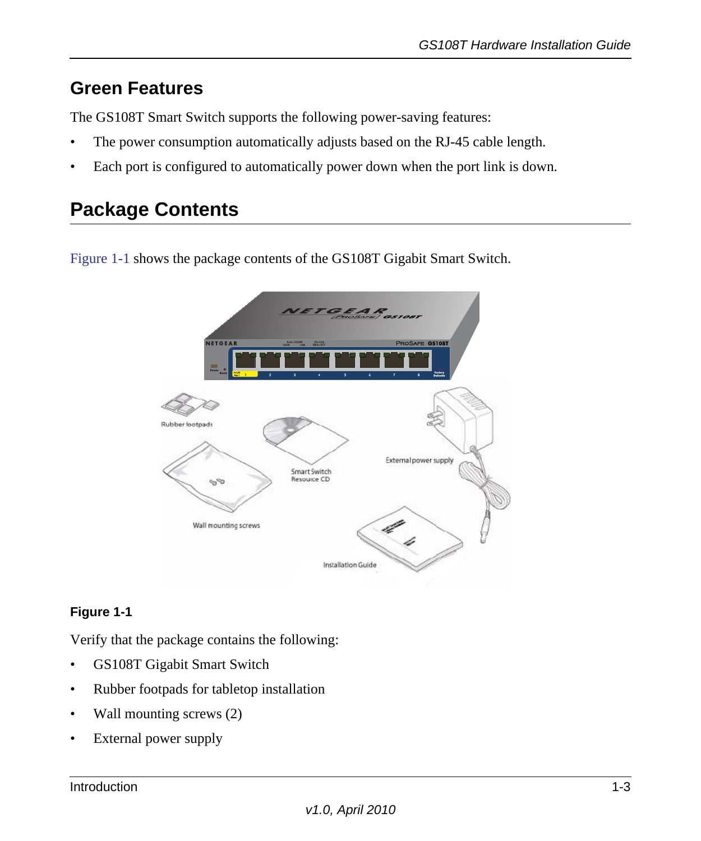## <span id="page-10-0"></span>**Green Features**

The GS108T Smart Switch supports the following power-saving features:

- The power consumption automatically adjusts based on the RJ-45 cable length.
- Each port is configured to automatically power down when the port link is down.

## <span id="page-10-3"></span><span id="page-10-1"></span>**Package Contents**

[Figure](#page-10-2) 1-1 shows the package contents of the GS108T Gigabit Smart Switch.



### <span id="page-10-2"></span>**Figure 1-1**

Verify that the package contains the following:

- GS108T Gigabit Smart Switch
- <span id="page-10-5"></span>• Rubber footpads for tabletop installation
- Wall mounting screws (2)
- <span id="page-10-4"></span>• External power supply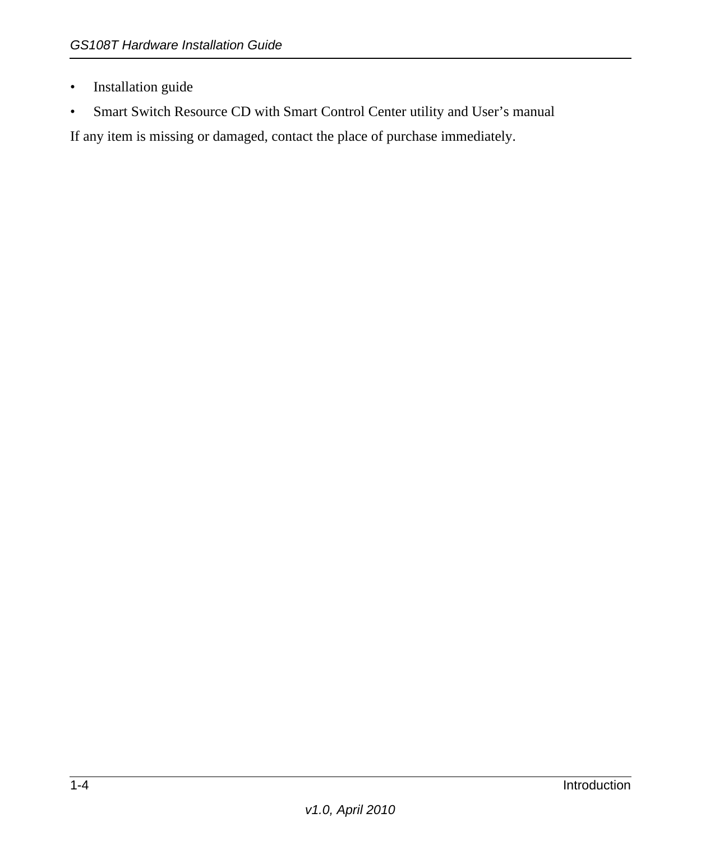- <span id="page-11-0"></span>• Installation guide
- <span id="page-11-3"></span><span id="page-11-2"></span><span id="page-11-1"></span>• Smart Switch Resource CD with Smart Control Center utility and User's manual

<span id="page-11-4"></span>If any item is missing or damaged, contact the place of purchase immediately.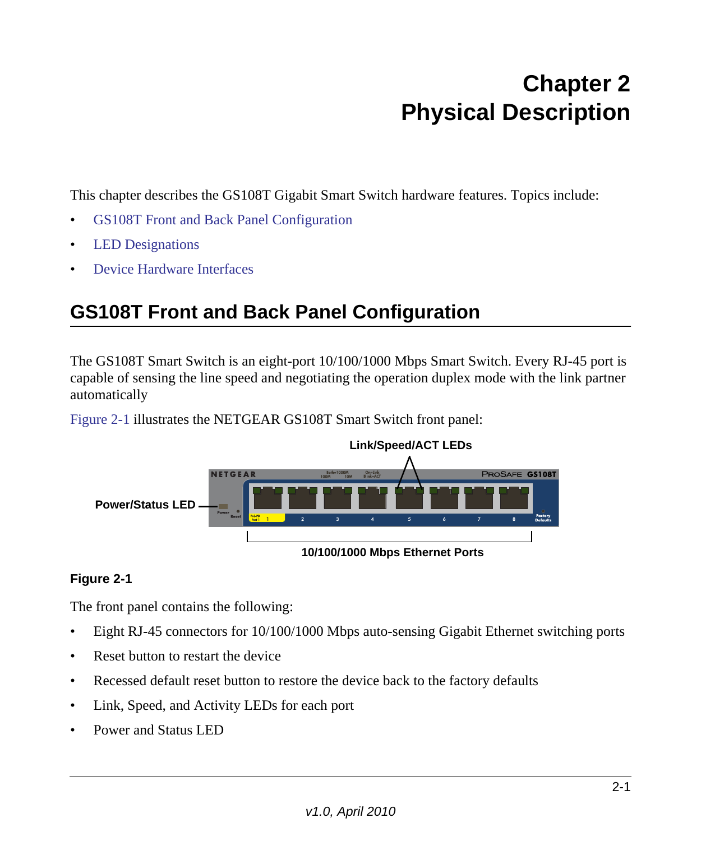## **Chapter 2 Physical Description**

<span id="page-12-0"></span>This chapter describes the GS108T Gigabit Smart Switch hardware features. Topics include:

- [GS108T Front and Back Panel Configuration](#page-12-1)
- [LED Designations](#page-13-0)
- [Device Hardware Interfaces](#page-14-1)

## <span id="page-12-1"></span>**GS108T Front and Back Panel Configuration**

The GS108T Smart Switch is an eight-port 10/100/1000 Mbps Smart Switch. Every RJ-45 port is capable of sensing the line speed and negotiating the operation duplex mode with the link partner automatically

[Figure](#page-12-2) 2-1 illustrates the NETGEAR GS108T Smart Switch front panel:



#### <span id="page-12-2"></span>**Figure 2-1**

The front panel contains the following:

- Eight RJ-45 connectors for 10/100/1000 Mbps auto-sensing Gigabit Ethernet switching ports
- <span id="page-12-5"></span><span id="page-12-4"></span><span id="page-12-3"></span>• Reset button to restart the device
- Recessed default reset button to restore the device back to the factory defaults
- Link, Speed, and Activity LEDs for each port
- Power and Status LED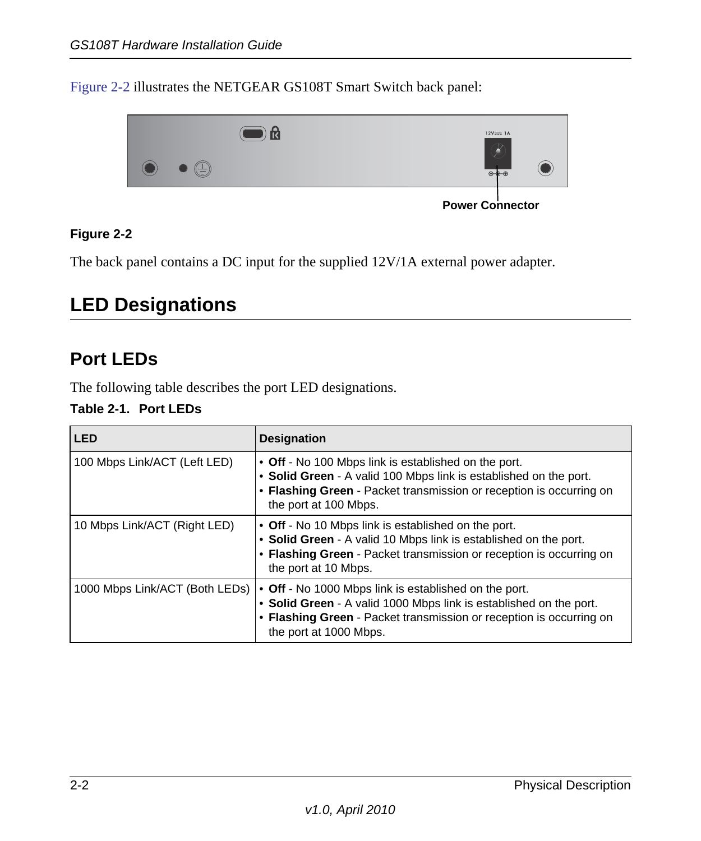[Figure](#page-13-2) 2-2 illustrates the NETGEAR GS108T Smart Switch back panel:



**Power Connector** 

#### <span id="page-13-2"></span>**Figure 2-2**

The back panel contains a DC input for the supplied 12V/1A external power adapter.

## <span id="page-13-3"></span><span id="page-13-0"></span>**LED Designations**

### <span id="page-13-4"></span><span id="page-13-1"></span>**Port LEDs**

The following table describes the port LED designations.

#### **Table 2-1. Port LEDs**

| <b>LED</b>                     | <b>Designation</b>                                                                                                                                                                                                           |
|--------------------------------|------------------------------------------------------------------------------------------------------------------------------------------------------------------------------------------------------------------------------|
| 100 Mbps Link/ACT (Left LED)   | • Off - No 100 Mbps link is established on the port.<br>• Solid Green - A valid 100 Mbps link is established on the port.<br>• Flashing Green - Packet transmission or reception is occurring on<br>the port at 100 Mbps.    |
| 10 Mbps Link/ACT (Right LED)   | • Off - No 10 Mbps link is established on the port.<br>• Solid Green - A valid 10 Mbps link is established on the port.<br>• Flashing Green - Packet transmission or reception is occurring on<br>the port at 10 Mbps.       |
| 1000 Mbps Link/ACT (Both LEDs) | • Off - No 1000 Mbps link is established on the port.<br>• Solid Green - A valid 1000 Mbps link is established on the port.<br>• Flashing Green - Packet transmission or reception is occurring on<br>the port at 1000 Mbps. |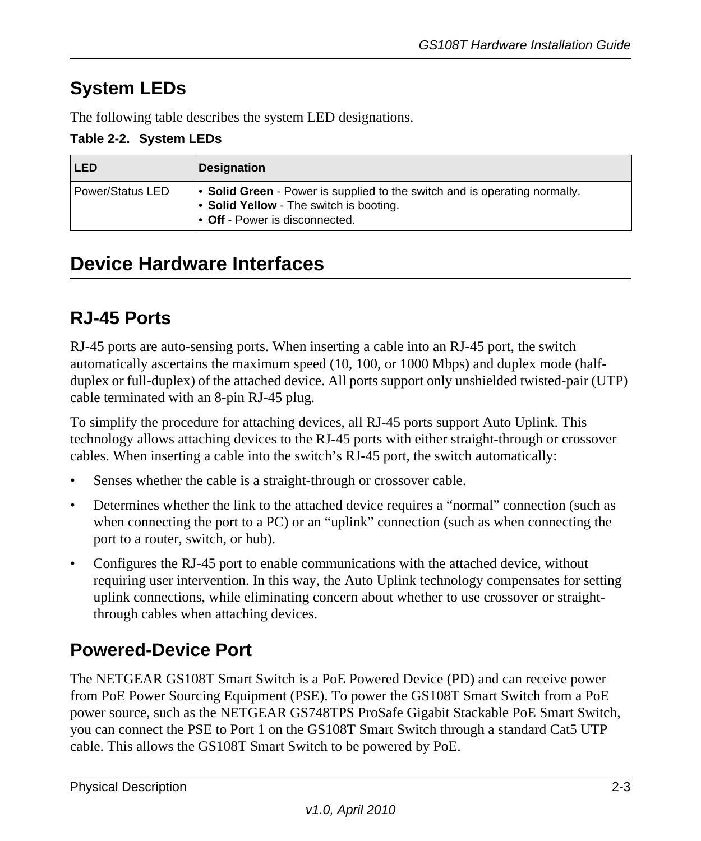## <span id="page-14-15"></span><span id="page-14-0"></span>**System LEDs**

The following table describes the system LED designations.

#### **Table 2-2. System LEDs**

| <b>LED</b>       | <b>Designation</b>                                                                                                                                      |
|------------------|---------------------------------------------------------------------------------------------------------------------------------------------------------|
| Power/Status LED | • Solid Green - Power is supplied to the switch and is operating normally.<br>• Solid Yellow - The switch is booting.<br>• Off - Power is disconnected. |

## <span id="page-14-8"></span><span id="page-14-1"></span>**Device Hardware Interfaces**

## <span id="page-14-13"></span><span id="page-14-2"></span>**RJ-45 Ports**

<span id="page-14-9"></span><span id="page-14-6"></span><span id="page-14-4"></span>RJ-45 ports are auto-sensing ports. When inserting a cable into an RJ-45 port, the switch automatically ascertains the maximum speed (10, 100, or 1000 Mbps) and duplex mode (halfduplex or full-duplex) of the attached device. All ports support only unshielded twisted-pair (UTP) cable terminated with an 8-pin RJ-45 plug.

<span id="page-14-14"></span><span id="page-14-7"></span><span id="page-14-5"></span>To simplify the procedure for attaching devices, all RJ-45 ports support Auto Uplink. This technology allows attaching devices to the RJ-45 ports with either straight-through or crossover cables. When inserting a cable into the switch's RJ-45 port, the switch automatically:

- Senses whether the cable is a straight-through or crossover cable.
- Determines whether the link to the attached device requires a "normal" connection (such as when connecting the port to a PC) or an "uplink" connection (such as when connecting the port to a router, switch, or hub).
- <span id="page-14-16"></span>• Configures the RJ-45 port to enable communications with the attached device, without requiring user intervention. In this way, the Auto Uplink technology compensates for setting uplink connections, while eliminating concern about whether to use crossover or straightthrough cables when attaching devices.

## <span id="page-14-3"></span>**Powered-Device Port**

<span id="page-14-12"></span><span id="page-14-11"></span><span id="page-14-10"></span>The NETGEAR GS108T Smart Switch is a PoE Powered Device (PD) and can receive power from PoE Power Sourcing Equipment (PSE). To power the GS108T Smart Switch from a PoE power source, such as the NETGEAR GS748TPS ProSafe Gigabit Stackable PoE Smart Switch, you can connect the PSE to Port 1 on the GS108T Smart Switch through a standard Cat5 UTP cable. This allows the GS108T Smart Switch to be powered by PoE.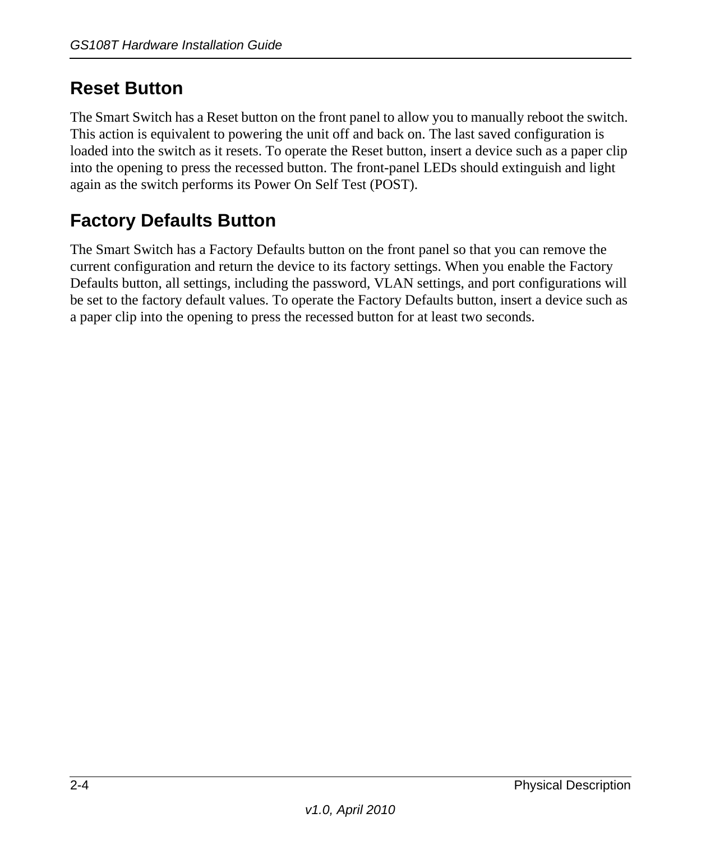## <span id="page-15-0"></span>**Reset Button**

<span id="page-15-2"></span>The Smart Switch has a Reset button on the front panel to allow you to manually reboot the switch. This action is equivalent to powering the unit off and back on. The last saved configuration is loaded into the switch as it resets. To operate the Reset button, insert a device such as a paper clip into the opening to press the recessed button. The front-panel LEDs should extinguish and light again as the switch performs its Power On Self Test (POST).

## <span id="page-15-3"></span><span id="page-15-1"></span>**Factory Defaults Button**

<span id="page-15-4"></span>The Smart Switch has a Factory Defaults button on the front panel so that you can remove the current configuration and return the device to its factory settings. When you enable the Factory Defaults button, all settings, including the password, VLAN settings, and port configurations will be set to the factory default values. To operate the Factory Defaults button, insert a device such as a paper clip into the opening to press the recessed button for at least two seconds.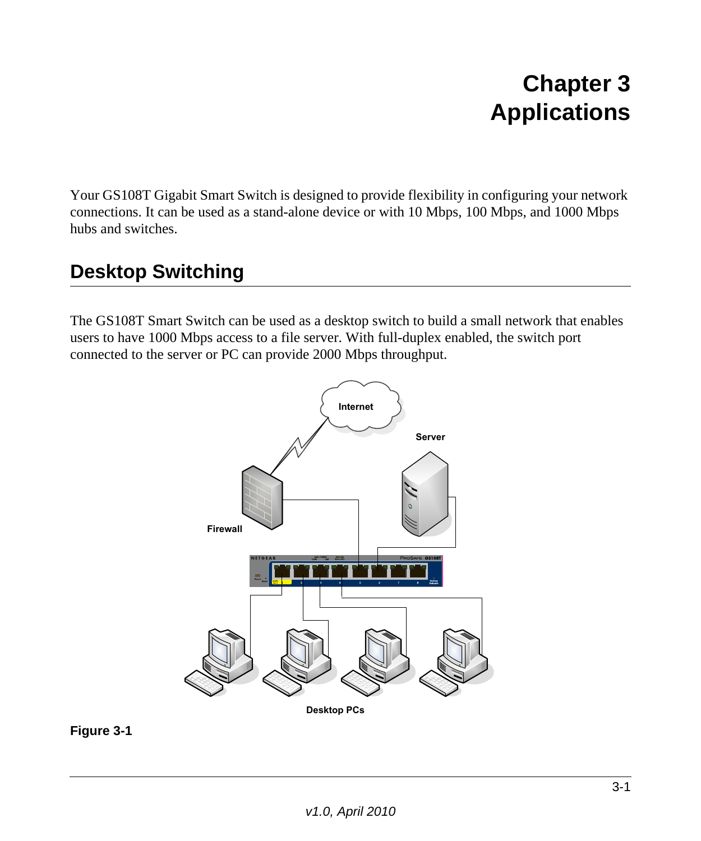## **Chapter 3 Applications**

<span id="page-16-0"></span>Your GS108T Gigabit Smart Switch is designed to provide flexibility in configuring your network connections. It can be used as a stand-alone device or with 10 Mbps, 100 Mbps, and 1000 Mbps hubs and switches.

## <span id="page-16-1"></span>**Desktop Switching**

The GS108T Smart Switch can be used as a desktop switch to build a small network that enables users to have 1000 Mbps access to a file server. With full-duplex enabled, the switch port connected to the server or PC can provide 2000 Mbps throughput.



<span id="page-16-2"></span>**Figure 3-1**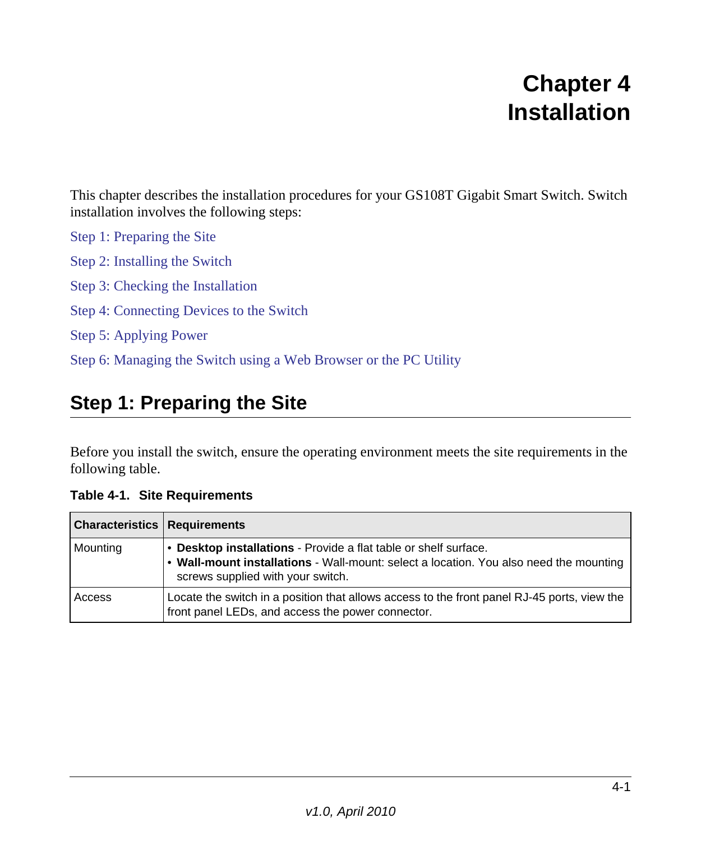## **Chapter 4 Installation**

<span id="page-18-0"></span>This chapter describes the installation procedures for your GS108T Gigabit Smart Switch. Switch installation involves the following steps:

[Step 1: Preparing the Site](#page-18-1) [Step 2: Installing the Switch](#page-19-0) [Step 3: Checking the Installation](#page-20-0) [Step 4: Connecting Devices to the Switch](#page-20-1) [Step 5: Applying Power](#page-21-0) [Step 6: Managing the Switch using a Web Browser or the PC Utility](#page-22-0)

## <span id="page-18-3"></span><span id="page-18-1"></span>**Step 1: Preparing the Site**

<span id="page-18-2"></span>Before you install the switch, ensure the operating environment meets the site requirements in the following table.

<span id="page-18-4"></span>

| <b>Characteristics   Requirements</b> |                                                                                                                                                                                                 |
|---------------------------------------|-------------------------------------------------------------------------------------------------------------------------------------------------------------------------------------------------|
| Mounting                              | • Desktop installations - Provide a flat table or shelf surface.<br>. Wall-mount installations - Wall-mount: select a location. You also need the mounting<br>screws supplied with your switch. |
| l Access                              | Locate the switch in a position that allows access to the front panel RJ-45 ports, view the<br>front panel LEDs, and access the power connector.                                                |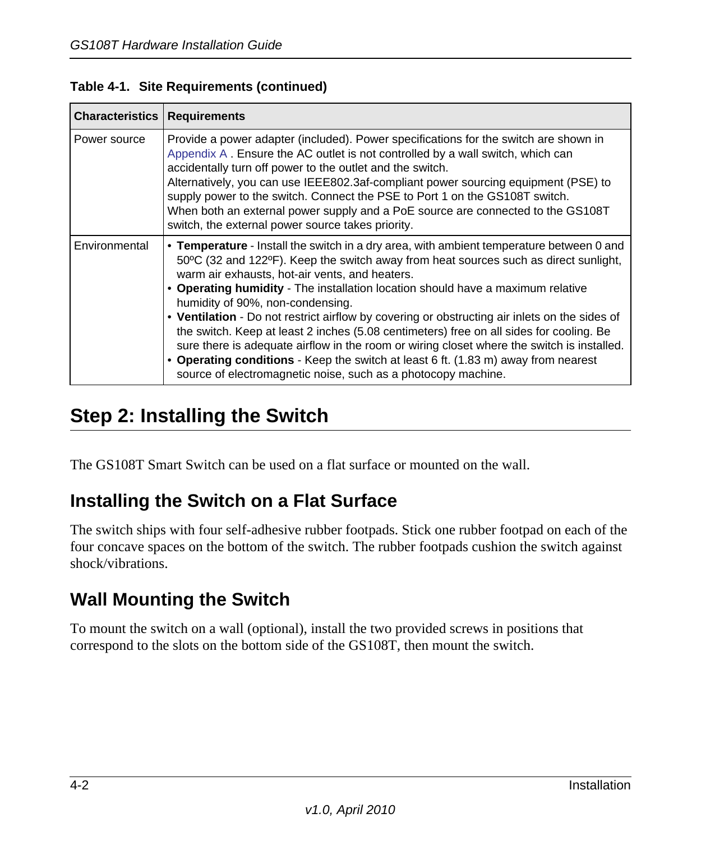<span id="page-19-10"></span><span id="page-19-8"></span><span id="page-19-7"></span>

| <b>Characteristics   Requirements</b> |                                                                                                                                                                                                                                                                                                                                                                                                                                                                                                                                                                                                                                                                                                                                                                                                            |
|---------------------------------------|------------------------------------------------------------------------------------------------------------------------------------------------------------------------------------------------------------------------------------------------------------------------------------------------------------------------------------------------------------------------------------------------------------------------------------------------------------------------------------------------------------------------------------------------------------------------------------------------------------------------------------------------------------------------------------------------------------------------------------------------------------------------------------------------------------|
| Power source                          | Provide a power adapter (included). Power specifications for the switch are shown in<br>Appendix A. Ensure the AC outlet is not controlled by a wall switch, which can<br>accidentally turn off power to the outlet and the switch.<br>Alternatively, you can use IEEE802.3af-compliant power sourcing equipment (PSE) to<br>supply power to the switch. Connect the PSE to Port 1 on the GS108T switch.<br>When both an external power supply and a PoE source are connected to the GS108T<br>switch, the external power source takes priority.                                                                                                                                                                                                                                                           |
| Environmental                         | • Temperature - Install the switch in a dry area, with ambient temperature between 0 and<br>50°C (32 and 122°F). Keep the switch away from heat sources such as direct sunlight,<br>warm air exhausts, hot-air vents, and heaters.<br>• Operating humidity - The installation location should have a maximum relative<br>humidity of 90%, non-condensing.<br>• Ventilation - Do not restrict airflow by covering or obstructing air inlets on the sides of<br>the switch. Keep at least 2 inches (5.08 centimeters) free on all sides for cooling. Be<br>sure there is adequate airflow in the room or wiring closet where the switch is installed.<br>• Operating conditions - Keep the switch at least 6 ft. (1.83 m) away from nearest<br>source of electromagnetic noise, such as a photocopy machine. |

### **Table 4-1. Site Requirements (continued)**

## <span id="page-19-11"></span><span id="page-19-6"></span><span id="page-19-5"></span><span id="page-19-4"></span><span id="page-19-0"></span>**Step 2: Installing the Switch**

<span id="page-19-3"></span>The GS108T Smart Switch can be used on a flat surface or mounted on the wall.

## <span id="page-19-1"></span>**Installing the Switch on a Flat Surface**

<span id="page-19-9"></span>The switch ships with four self-adhesive rubber footpads. Stick one rubber footpad on each of the four concave spaces on the bottom of the switch. The rubber footpads cushion the switch against shock/vibrations.

## <span id="page-19-2"></span>**Wall Mounting the Switch**

To mount the switch on a wall (optional), install the two provided screws in positions that correspond to the slots on the bottom side of the GS108T, then mount the switch.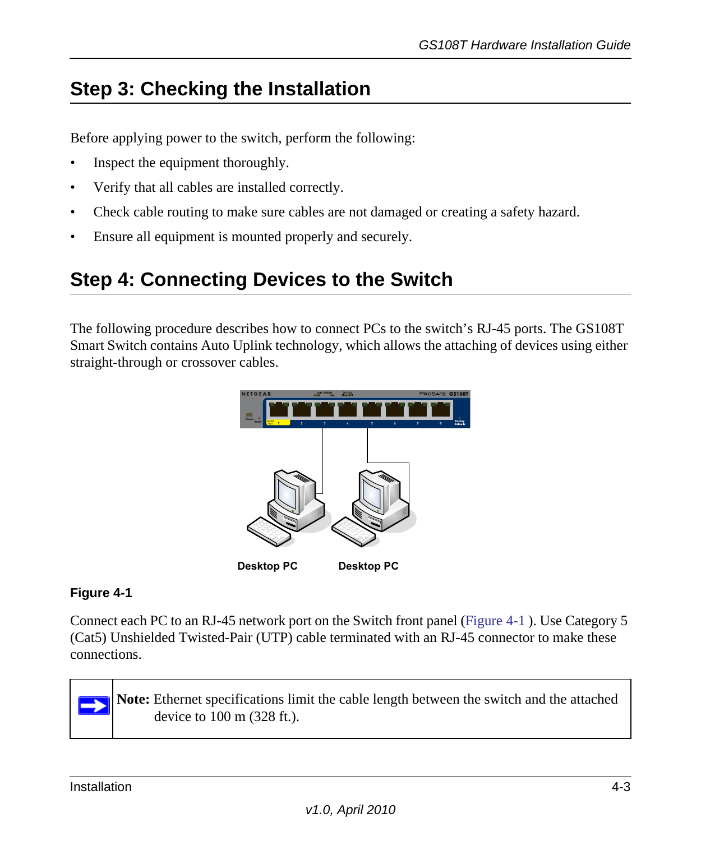## <span id="page-20-3"></span><span id="page-20-0"></span>**Step 3: Checking the Installation**

Before applying power to the switch, perform the following:

- Inspect the equipment thoroughly.
- Verify that all cables are installed correctly.
- Check cable routing to make sure cables are not damaged or creating a safety hazard.
- Ensure all equipment is mounted properly and securely.

## <span id="page-20-4"></span><span id="page-20-1"></span>**Step 4: Connecting Devices to the Switch**

The following procedure describes how to connect PCs to the switch's RJ-45 ports. The GS108T Smart Switch contains Auto Uplink technology, which allows the attaching of devices using either straight-through or crossover cables.



### <span id="page-20-2"></span>**Figure 4-1**

Connect each PC to an RJ-45 network port on the Switch front panel [\(Figure](#page-20-2) 4-1 ). Use Category 5 (Cat5) Unshielded Twisted-Pair (UTP) cable terminated with an RJ-45 connector to make these connections.



<span id="page-20-5"></span>**Note:** Ethernet specifications limit the cable length between the switch and the attached device to 100 m (328 ft.).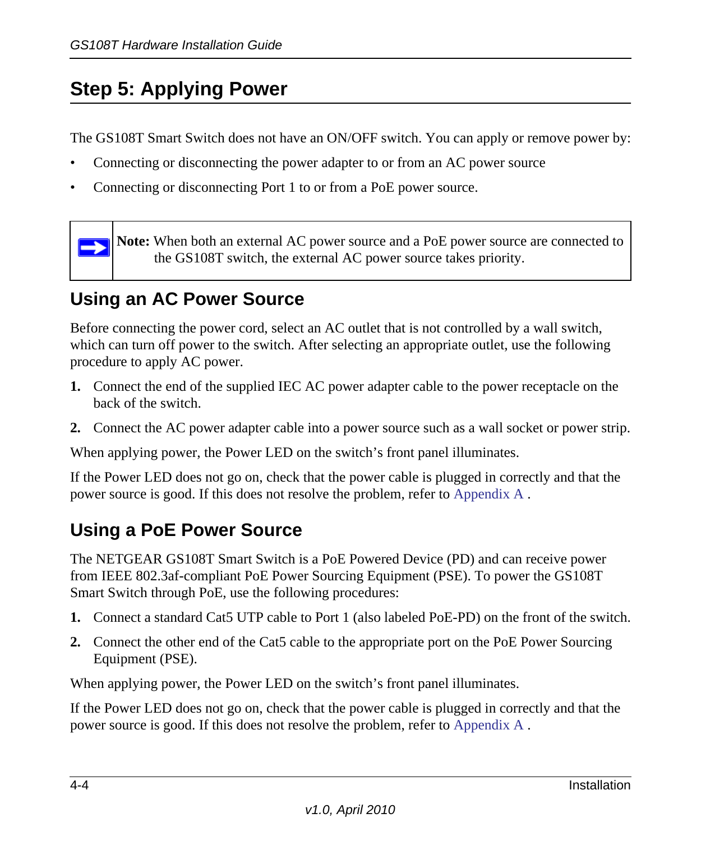## <span id="page-21-3"></span><span id="page-21-0"></span>**Step 5: Applying Power**

The GS108T Smart Switch does not have an ON/OFF switch. You can apply or remove power by:

- Connecting or disconnecting the power adapter to or from an AC power source
- Connecting or disconnecting Port 1 to or from a PoE power source.

<span id="page-21-7"></span><span id="page-21-5"></span>**Note:** When both an external AC power source and a PoE power source are connected to the GS108T switch, the external AC power source takes priority.

## <span id="page-21-1"></span>**Using an AC Power Source**

 $\rightarrow$ 

Before connecting the power cord, select an AC outlet that is not controlled by a wall switch, which can turn off power to the switch. After selecting an appropriate outlet, use the following procedure to apply AC power.

- **1.** Connect the end of the supplied IEC AC power adapter cable to the power receptacle on the back of the switch.
- **2.** Connect the AC power adapter cable into a power source such as a wall socket or power strip.

When applying power, the Power LED on the switch's front panel illuminates.

If the Power LED does not go on, check that the power cable is plugged in correctly and that the power source is good. If this does not resolve the problem, refer to [Appendix](#page-24-2) A .

## <span id="page-21-2"></span>**Using a PoE Power Source**

<span id="page-21-8"></span><span id="page-21-6"></span><span id="page-21-4"></span>The NETGEAR GS108T Smart Switch is a PoE Powered Device (PD) and can receive power from IEEE 802.3af-compliant PoE Power Sourcing Equipment (PSE). To power the GS108T Smart Switch through PoE, use the following procedures:

- **1.** Connect a standard Cat5 UTP cable to Port 1 (also labeled PoE-PD) on the front of the switch.
- **2.** Connect the other end of the Cat5 cable to the appropriate port on the PoE Power Sourcing Equipment (PSE).

When applying power, the Power LED on the switch's front panel illuminates.

If the Power LED does not go on, check that the power cable is plugged in correctly and that the power source is good. If this does not resolve the problem, refer to [Appendix](#page-24-2) A .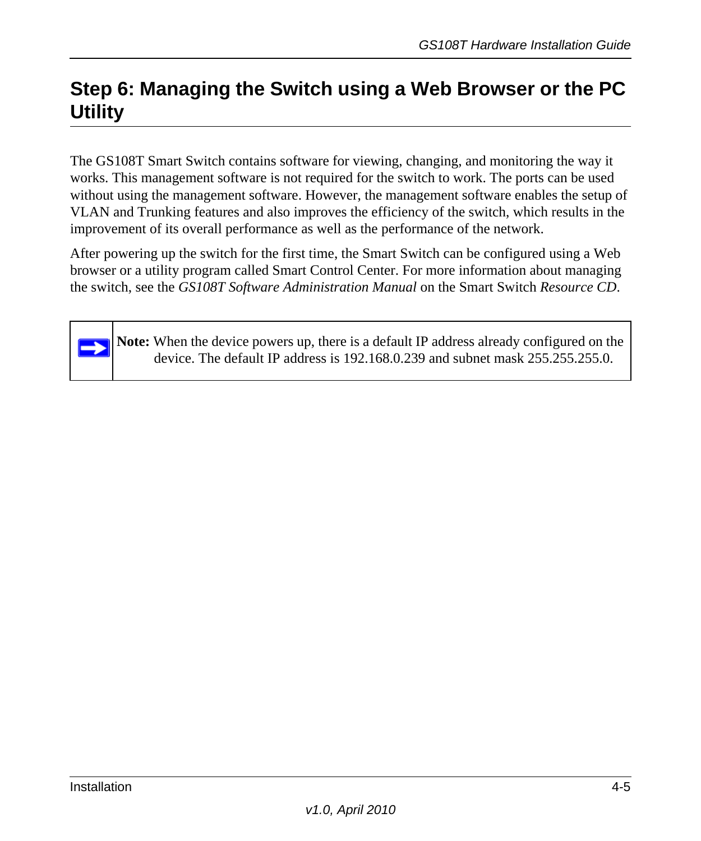## <span id="page-22-0"></span>**Step 6: Managing the Switch using a Web Browser or the PC Utility**

<span id="page-22-3"></span>The GS108T Smart Switch contains software for viewing, changing, and monitoring the way it works. This management software is not required for the switch to work. The ports can be used without using the management software. However, the management software enables the setup of VLAN and Trunking features and also improves the efficiency of the switch, which results in the improvement of its overall performance as well as the performance of the network.

After powering up the switch for the first time, the Smart Switch can be configured using a Web browser or a utility program called Smart Control Center. For more information about managing the switch, see the *GS108T Software Administration Manual* on the Smart Switch *Resource CD*.

<span id="page-22-2"></span><span id="page-22-1"></span>**Note:** When the device powers up, there is a default IP address already configured on the device. The default IP address is 192.168.0.239 and subnet mask 255.255.255.0.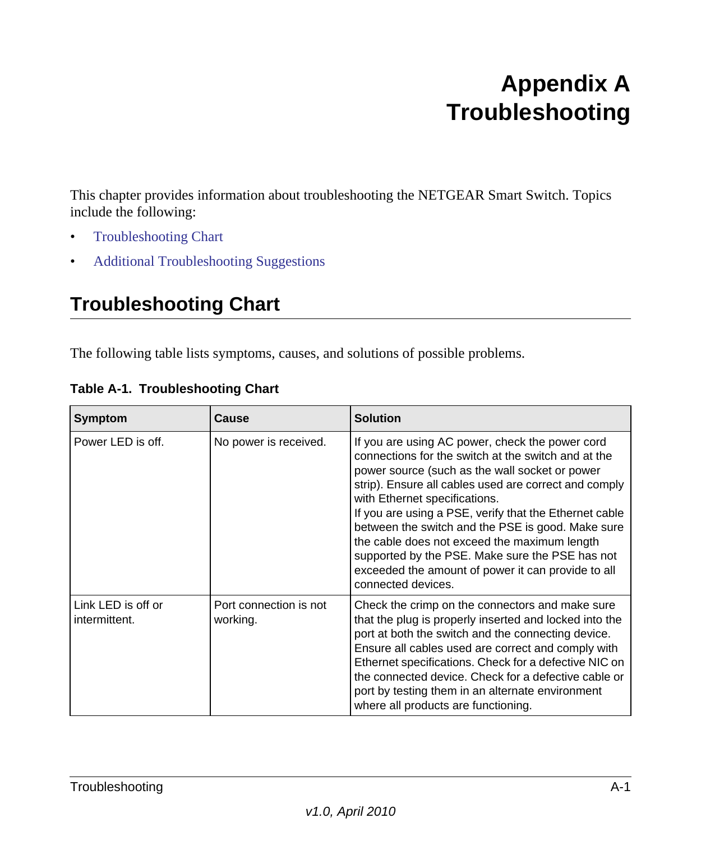## <span id="page-24-2"></span>**Appendix A Troubleshooting**

<span id="page-24-0"></span>This chapter provides information about troubleshooting the NETGEAR Smart Switch. Topics include the following:

- [Troubleshooting Chart](#page-24-1)
- [Additional Troubleshooting Suggestions](#page-25-0)

## <span id="page-24-4"></span><span id="page-24-1"></span>**Troubleshooting Chart**

The following table lists symptoms, causes, and solutions of possible problems.

<span id="page-24-3"></span>

| Symptom                             | <b>Cause</b>                       | <b>Solution</b>                                                                                                                                                                                                                                                                                                                                                                                                                                                                                                                                  |
|-------------------------------------|------------------------------------|--------------------------------------------------------------------------------------------------------------------------------------------------------------------------------------------------------------------------------------------------------------------------------------------------------------------------------------------------------------------------------------------------------------------------------------------------------------------------------------------------------------------------------------------------|
| Power LED is off.                   | No power is received.              | If you are using AC power, check the power cord<br>connections for the switch at the switch and at the<br>power source (such as the wall socket or power<br>strip). Ensure all cables used are correct and comply<br>with Ethernet specifications.<br>If you are using a PSE, verify that the Ethernet cable<br>between the switch and the PSE is good. Make sure<br>the cable does not exceed the maximum length<br>supported by the PSE. Make sure the PSE has not<br>exceeded the amount of power it can provide to all<br>connected devices. |
| Link LED is off or<br>intermittent. | Port connection is not<br>working. | Check the crimp on the connectors and make sure<br>that the plug is properly inserted and locked into the<br>port at both the switch and the connecting device.<br>Ensure all cables used are correct and comply with<br>Ethernet specifications. Check for a defective NIC on<br>the connected device. Check for a defective cable or<br>port by testing them in an alternate environment<br>where all products are functioning.                                                                                                                |

|  | Table A-1. Troubleshooting Chart |  |
|--|----------------------------------|--|
|--|----------------------------------|--|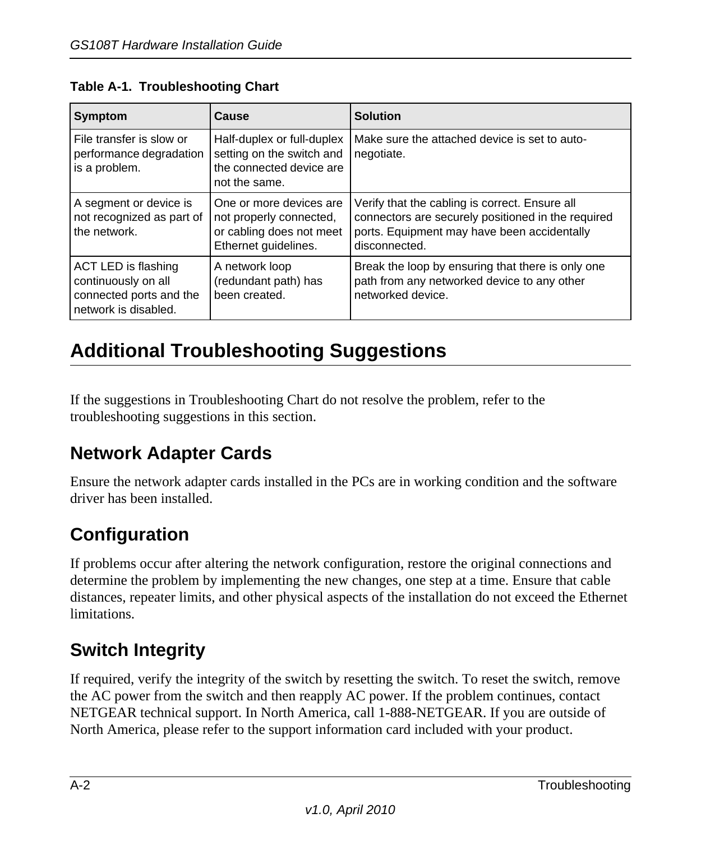| Symptom                                                                                       | <b>Cause</b>                                                                                           | <b>Solution</b>                                                                                                                                                      |
|-----------------------------------------------------------------------------------------------|--------------------------------------------------------------------------------------------------------|----------------------------------------------------------------------------------------------------------------------------------------------------------------------|
| File transfer is slow or<br>performance degradation<br>is a problem.                          | Half-duplex or full-duplex<br>setting on the switch and<br>the connected device are<br>not the same.   | Make sure the attached device is set to auto-<br>negotiate.                                                                                                          |
| A segment or device is<br>not recognized as part of<br>the network.                           | One or more devices are<br>not properly connected.<br>or cabling does not meet<br>Ethernet guidelines. | Verify that the cabling is correct. Ensure all<br>connectors are securely positioned in the required<br>ports. Equipment may have been accidentally<br>disconnected. |
| ACT LED is flashing<br>continuously on all<br>connected ports and the<br>network is disabled. | A network loop<br>(redundant path) has<br>been created.                                                | Break the loop by ensuring that there is only one<br>path from any networked device to any other<br>networked device.                                                |

### **Table A-1. Troubleshooting Chart**

## <span id="page-25-0"></span>**Additional Troubleshooting Suggestions**

If the suggestions in Troubleshooting Chart do not resolve the problem, refer to the troubleshooting suggestions in this section.

## <span id="page-25-1"></span>**Network Adapter Cards**

Ensure the network adapter cards installed in the PCs are in working condition and the software driver has been installed.

## <span id="page-25-2"></span>**Configuration**

If problems occur after altering the network configuration, restore the original connections and determine the problem by implementing the new changes, one step at a time. Ensure that cable distances, repeater limits, and other physical aspects of the installation do not exceed the Ethernet limitations.

## <span id="page-25-3"></span>**Switch Integrity**

If required, verify the integrity of the switch by resetting the switch. To reset the switch, remove the AC power from the switch and then reapply AC power. If the problem continues, contact NETGEAR technical support. In North America, call 1-888-NETGEAR. If you are outside of North America, please refer to the support information card included with your product.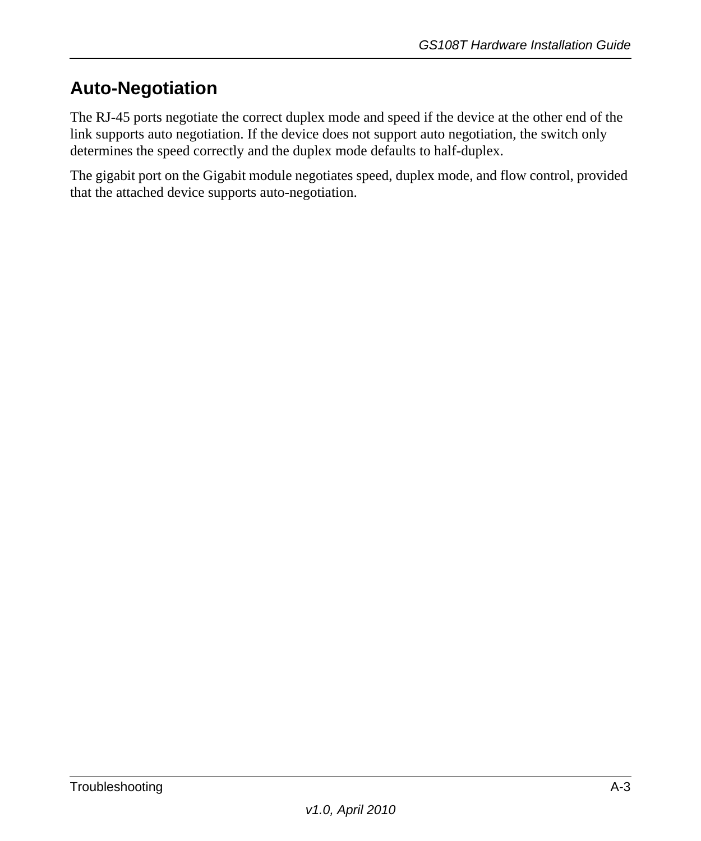## <span id="page-26-0"></span>**Auto-Negotiation**

The RJ-45 ports negotiate the correct duplex mode and speed if the device at the other end of the link supports auto negotiation. If the device does not support auto negotiation, the switch only determines the speed correctly and the duplex mode defaults to half-duplex.

The gigabit port on the Gigabit module negotiates speed, duplex mode, and flow control, provided that the attached device supports auto-negotiation.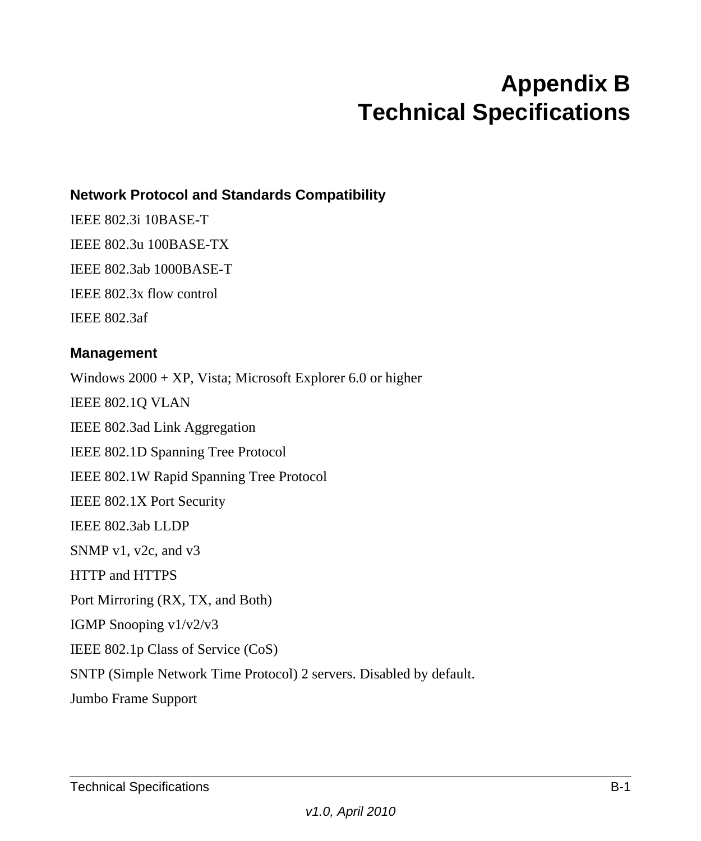## **Appendix B Technical Specifications**

### <span id="page-28-0"></span>**Network Protocol and Standards Compatibility**

IEEE 802.3i 10BASE-T IEEE 802.3u 100BASE-TX IEEE 802.3ab 1000BASE-T IEEE 802.3x flow control IEEE 802.3af

#### **Management**

Windows 2000 + XP, Vista; Microsoft Explorer 6.0 or higher IEEE 802.1Q VLAN IEEE 802.3ad Link Aggregation IEEE 802.1D Spanning Tree Protocol IEEE 802.1W Rapid Spanning Tree Protocol IEEE 802.1X Port Security IEEE 802.3ab LLDP SNMP v1, v2c, and v3 HTTP and HTTPS Port Mirroring (RX, TX, and Both) IGMP Snooping v1/v2/v3 IEEE 802.1p Class of Service (CoS) SNTP (Simple Network Time Protocol) 2 servers. Disabled by default. Jumbo Frame Support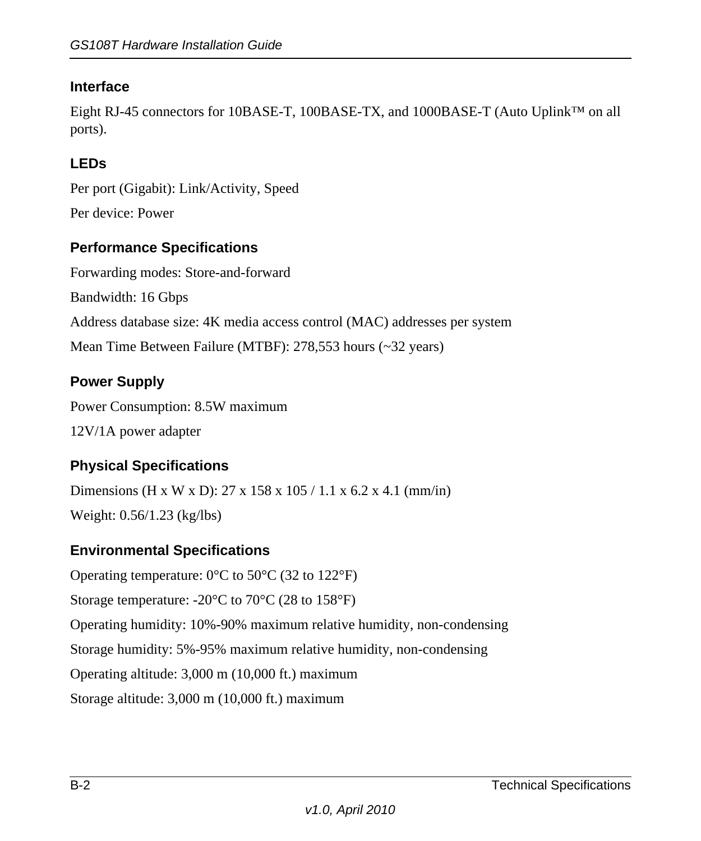### **Interface**

Eight RJ-45 connectors for 10BASE-T, 100BASE-TX, and 1000BASE-T (Auto Uplink<sup>™</sup> on all ports).

### **LEDs**

Per port (Gigabit): Link/Activity, Speed

Per device: Power

#### **Performance Specifications**

Forwarding modes: Store-and-forward Bandwidth: 16 Gbps Address database size: 4K media access control (MAC) addresses per system Mean Time Between Failure (MTBF): 278,553 hours (~32 years)

#### **Power Supply**

Power Consumption: 8.5W maximum 12V/1A power adapter

### **Physical Specifications**

Dimensions (H x W x D): 27 x 158 x 105 / 1.1 x 6.2 x 4.1 (mm/in) Weight: 0.56/1.23 (kg/lbs)

### **Environmental Specifications**

Operating temperature:  $0^{\circ}$ C to 50 $^{\circ}$ C (32 to 122 $^{\circ}$ F) Storage temperature:  $-20^{\circ}$ C to  $70^{\circ}$ C (28 to 158 $^{\circ}$ F) Operating humidity: 10%-90% maximum relative humidity, non-condensing Storage humidity: 5%-95% maximum relative humidity, non-condensing Operating altitude: 3,000 m (10,000 ft.) maximum Storage altitude: 3,000 m (10,000 ft.) maximum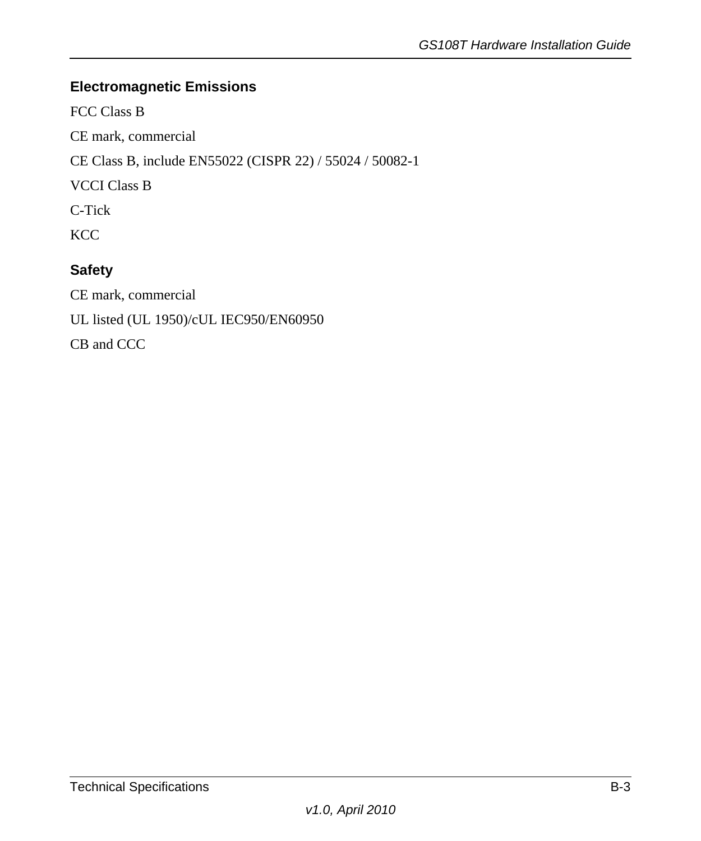### **Electromagnetic Emissions**

FCC Class B

CE mark, commercial

CE Class B, include EN55022 (CISPR 22) / 55024 / 50082-1

VCCI Class B

C-Tick

KCC

### **Safety**

CE mark, commercial UL listed (UL 1950)/cUL IEC950/EN60950 CB and CCC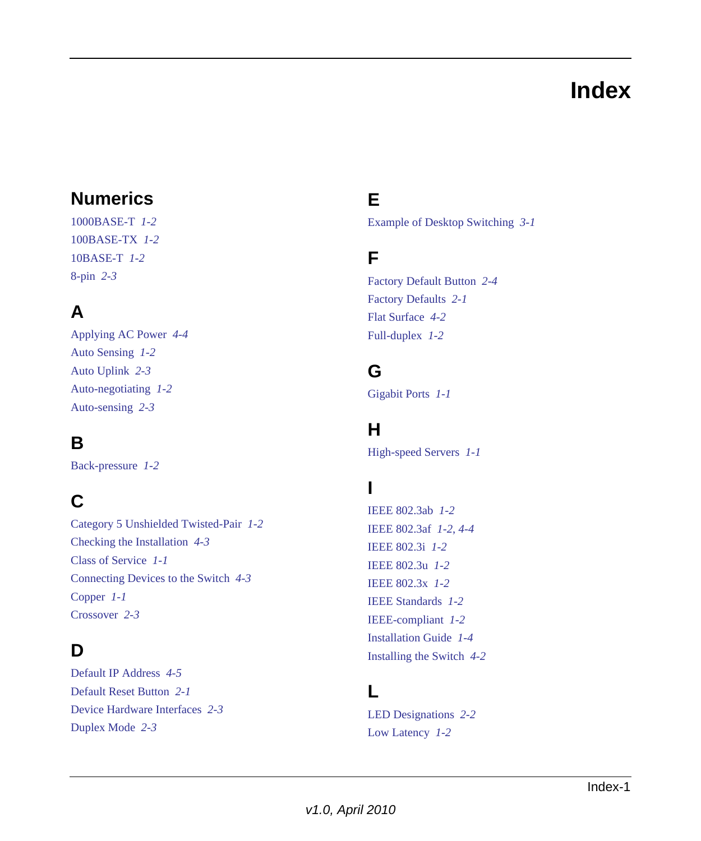## **Index**

## <span id="page-32-0"></span>**Numerics**

1000BASE-T *[1-2](#page-9-1)* 100BASE-TX *[1-2](#page-9-2)* 10BASE-T *[1-2](#page-9-3)* 8-pin *[2-3](#page-14-4)*

## **A**

Applying AC Power *[4-4](#page-21-3)* Auto Sensing *[1-2](#page-9-4)* Auto Uplink *[2-3](#page-14-5)* Auto-negotiating *[1-2](#page-9-5)* Auto-sensing *[2-3](#page-14-6)*

## **B**

Back-pressure *[1-2](#page-9-6)*

## **C**

Category 5 Unshielded Twisted-Pair *[1-2](#page-9-7)* Checking the Installation *[4-3](#page-20-3)* Class of Service *[1-1](#page-8-2)* Connecting Devices to the Switch *[4-3](#page-20-4)* Copper *[1-1](#page-8-3)* Crossover *[2-3](#page-14-7)*

## **D**

Default IP Address *[4-5](#page-22-1)* Default Reset Button *[2-1](#page-12-3)* Device Hardware Interfaces *[2-3](#page-14-8)* Duplex Mode *[2-3](#page-14-9)*

## **E**

Example of Desktop Switching *[3-1](#page-16-2)*

### **F**

Factory Default Button *[2-4](#page-15-2)* Factory Defaults *[2-1](#page-12-4)* Flat Surface *[4-2](#page-19-3)* Full-duplex *[1-2](#page-9-8)*

## **G**

Gigabit Ports *[1-1](#page-8-4)*

### **H**

High-speed Servers *[1-1](#page-8-5)*

## **I**

IEEE 802.3ab *[1-2](#page-9-9)* IEEE 802.3af *[1-2](#page-9-10)*, *[4-4](#page-21-4)* IEEE 802.3i *[1-2](#page-9-11)* IEEE 802.3u *[1-2](#page-9-12)* IEEE 802.3x *[1-2](#page-9-9)* IEEE Standards *[1-2](#page-9-13)* IEEE-compliant *[1-2](#page-9-14)* Installation Guide *[1-4](#page-11-0)* Installing the Switch *[4-2](#page-19-4)*

### **L**

LED Designations *[2-2](#page-13-3)* Low Latency *[1-2](#page-9-15)*